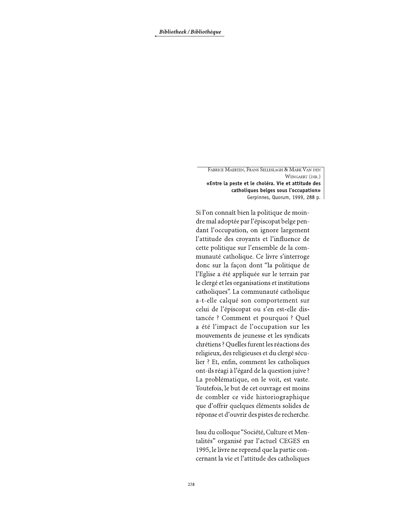FABRICE MAERTEN, FRANS SELLESLAGH & MARK VAN DEN WIJNGAERT (DIR.) «Entre la peste et le choléra. Vie et attitude des catholiques belges sous l'occupation» Gerpinnes, Quorum, 1999, 288 p. |

Si l'on connaît bien la politique de moindre mal adoptée par l'épiscopat belge pendant l'occupation, on ignore largement l'attitude des croyants et l'influence de cette politique sur l'ensemble de la communauté catholique. Ce livre s'interroge donc sur la façon dont "la politique de l'Eglise a été appliquée sur le terrain par le clergé et les organisations et institutions catholiques". La communauté catholique a-t-elle calqué son comportement sur celui de l'épiscopat ou s'en est-elle distancée ? Comment et pourquoi ? Quel a été l'impact de l'occupation sur les mouvements de jeunesse et les syndicats chrétiens ? Quelles furent les réactions des religieux, des religieuses et du clergé séculier ? Et, enfin, comment les catholiques ont-ils réagi à l'égard de la question juive ? La problématique, on le voit, est vaste. Toutefois, le but de cet ouvrage est moins de combler ce vide historiographique que d'offrir quelques éléments solides de réponse et d'ouvrir des pistes de recherche.

Issu du colloque "Société, Culture et Mentalités" organisé par l'actuel CEGES en 1995, le livre ne reprend que la partie concernant la vie et l'attitude des catholiques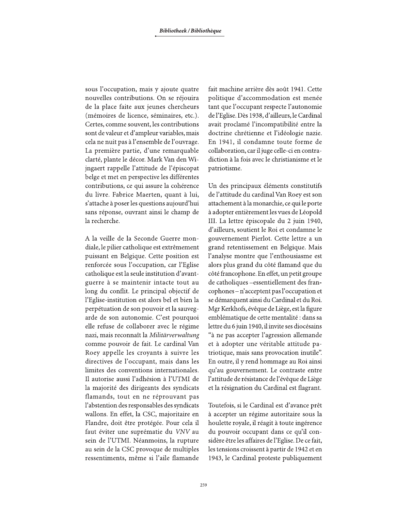sous l'occupation, mais y ajoute quatre nouvelles contributions. On se réjouira de la place faite aux jeunes chercheurs (mémoires de licence, séminaires, etc.). Certes, comme souvent, les contributions sont de valeur et d'ampleur variables, mais cela ne nuit pas à l'ensemble de l'ouvrage. La première partie, d'une remarquable clarté, plante le décor. Mark Van den Wijngaert rappelle l'attitude de l'épiscopat belge et met en perspective les différentes contributions, ce qui assure la cohérence du livre. Fabrice Maerten, quant à lui, s'attache à poser les questions aujourd'hui sans réponse, ouvrant ainsi le champ de la recherche.

A la veille de la Seconde Guerre mondiale, le pilier catholique est extrêmement puissant en Belgique. Cette position est renforcée sous l'occupation, car l'Eglise catholique est la seule institution d'avantguerre à se maintenir intacte tout au long du conflit. Le principal objectif de l'Eglise-institution est alors bel et bien la perpétuation de son pouvoir et la sauvegarde de son autonomie. C'est pourquoi elle refuse de collaborer avec le régime nazi, mais reconnaît la Militärverwaltung comme pouvoir de fait. Le cardinal Van Roey appelle les croyants à suivre les directives de l'occupant, mais dans les limites des conventions internationales. Il autorise aussi l'adhésion à l'UTMI de la majorité des dirigeants des syndicats flamands, tout en ne réprouvant pas l'abstention des responsables des syndicats wallons. En effet, la CSC, majoritaire en Flandre, doit être protégée. Pour cela il faut éviter une suprématie du VNV au sein de l'UTMI. Néanmoins, la rupture au sein de la CSC provoque de multiples ressentiments, même si l'aile flamande fait machine arrière dès août 1941. Cette politique d'accommodation est menée tant que l'occupant respecte l'autonomie de l'Eglise. Dès 1938, d'ailleurs, le Cardinal avait proclamé l'incompatibilité entre la doctrine chrétienne et l'idéologie nazie. En 1941, il condamne toute forme de collaboration, car il juge celle-ci en contradiction à la fois avec le christianisme et le patriotisme.

Un des principaux éléments constitutifs de l'attitude du cardinal Van Roey est son attachement à la monarchie, ce qui le porte à adopter entièrement les vues de Léopold III. La lettre épiscopale du 2 juin 1940, d'ailleurs, soutient le Roi et condamne le gouvernement Pierlot. Cette lettre a un grand retentissement en Belgique. Mais l'analyse montre que l'enthousiasme est alors plus grand du côté flamand que du côté francophone. En effet, un petit groupe de catholiques - essentiellement des francophones - n'acceptent pas l'occupation et se démarquent ainsi du Cardinal et du Roi. Mgr Kerkhofs, évêque de Liège, est la figure emblématique de cette mentalité : dans sa lettre du 6 juin 1940, il invite ses diocésains "à ne pas accepter l'agression allemande et à adopter une véritable attitude patriotique, mais sans provocation inutile". En outre, il y rend hommage au Roi ainsi qu'au gouvernement. Le contraste entre l'attitude de résistance de l'évêque de Liège et la résignation du Cardinal est flagrant.

Toutefois, si le Cardinal est d'avance prêt à accepter un régime autoritaire sous la houlette royale, il réagit à toute ingérence du pouvoir occupant dans ce qu'il considère être les affaires de l'Eglise. De ce fait, les tensions croissent à partir de 1942 et en 1943, le Cardinal proteste publiquement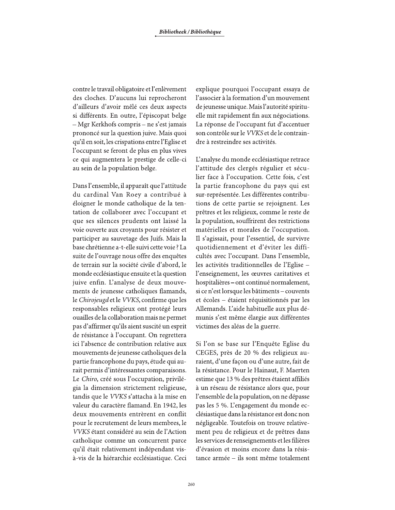contre le travail obligatoire et l'enlèvement des cloches. D'aucuns lui reprocheront d'ailleurs d'avoir mêlé ces deux aspects si différents. En outre, l'épiscopat belge - Mgr Kerkhofs compris - ne s'est jamais prononcé sur la question juive. Mais quoi qu'il en soit, les crispations entre l'Eglise et l'occupant se feront de plus en plus vives ce qui augmentera le prestige de celle-ci au sein de la population belge.

Dans l'ensemble, il apparaît que l'attitude du cardinal Van Roey a contribué à éloigner le monde catholique de la tentation de collaborer avec l'occupant et que ses silences prudents ont laissé la voie ouverte aux croyants pour résister et participer au sauvetage des Juifs. Mais la base chrétienne a-t-elle suivi cette voie ? La suite de l'ouvrage nous offre des enquêtes de terrain sur la société civile d'abord, le monde ecclésiastique ensuite et la question juive enfin. L'analyse de deux mouvements de jeunesse catholiques flamands, le Chirojeugd et le VVKS, confirme que les responsables religieux ont protégé leurs ouailles de la collaboration mais ne permet pas d'affirmer qu'ils aient suscité un esprit de résistance à l'occupant. On regrettera ici l'absence de contribution relative aux mouvements de jeunesse catholiques de la partie francophone du pays, étude qui aurait permis d'intéressantes comparaisons. Le Chiro, créé sous l'occupation, privilégia la dimension strictement religieuse, tandis que le VVKS s'attacha à la mise en valeur du caractère flamand. En 1942, les deux mouvements entrèrent en conflit pour le recrutement de leurs membres, le VVKS étant considéré au sein de l'Action catholique comme un concurrent parce qu'il était relativement indépendant visà-vis de la hiérarchie ecclésiastique. Ceci

explique pourquoi l'occupant essaya de l'associer à la formation d'un mouvement de jeunesse unique. Mais l'autorité spirituelle mit rapidement fin aux négociations. La réponse de l'occupant fut d'accentuer son contrôle sur le VVKS et de le contraindre à restreindre ses activités.

L'analyse du monde ecclésiastique retrace l'attitude des clergés régulier et séculier face à l'occupation. Cette fois, c'est la partie francophone du pays qui est sur-représentée. Les différentes contributions de cette partie se rejoignent. Les prêtres et les religieux, comme le reste de la population, souffrirent des restrictions matérielles et morales de l'occupation. Il s'agissait, pour l'essentiel, de survivre quotidiennement et d'éviter les difficultés avec l'occupant. Dans l'ensemble, les activités traditionnelles de l'Eglise l'enseignement, les œuvres caritatives et hospitalières – ont continué normalement, si ce n'est lorsque les bâtiments – couvents et écoles – étaient réquisitionnés par les Allemands. L'aide habituelle aux plus démunis s'est même élargie aux différentes victimes des aléas de la guerre.

Si l'on se base sur l'Enquête Eglise du CEGES, près de 20 % des religieux auraient, d'une façon ou d'une autre, fait de la résistance. Pour le Hainaut, F. Maerten estime que 13 % des prêtres étaient affiliés à un réseau de résistance alors que, pour l'ensemble de la population, on ne dépasse pas les 5 %. L'engagement du monde ecclésiastique dans la résistance est donc non négligeable. Toutefois on trouve relativement peu de religieux et de prêtres dans les services de renseignements et les filières d'évasion et moins encore dans la résistance armée – ils sont même totalement